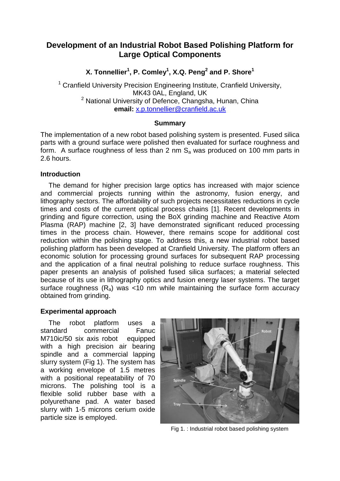# **Development of an Industrial Robot Based Polishing Platform for Large Optical Components**

**X. Tonnellier<sup>1</sup> , P. Comley<sup>1</sup> , X.Q. Peng<sup>2</sup> and P. Shore<sup>1</sup>**

<sup>1</sup> Cranfield University Precision Engineering Institute, Cranfield University, MK43 0AL, England, UK <sup>2</sup> National University of Defence, Changsha, Hunan, China **email:** [x.p.tonnellier@cranfield.ac.uk](mailto:x.p.tonnellier@cranfield.ac.uk)

### **Summary**

The implementation of a new robot based polishing system is presented. Fused silica parts with a ground surface were polished then evaluated for surface roughness and form. A surface roughness of less than 2 nm  $S_a$  was produced on 100 mm parts in 2.6 hours.

#### **Introduction**

The demand for higher precision large optics has increased with major science and commercial projects running within the astronomy, fusion energy, and lithography sectors. The affordability of such projects necessitates reductions in cycle times and costs of the current optical process chains [1]. Recent developments in grinding and figure correction, using the BoX grinding machine and Reactive Atom Plasma (RAP) machine [2, 3] have demonstrated significant reduced processing times in the process chain. However, there remains scope for additional cost reduction within the polishing stage. To address this, a new industrial robot based polishing platform has been developed at Cranfield University. The platform offers an economic solution for processing ground surfaces for subsequent RAP processing and the application of a final neutral polishing to reduce surface roughness. This paper presents an analysis of polished fused silica surfaces; a material selected because of its use in lithography optics and fusion energy laser systems. The target surface roughness  $(R_a)$  was <10 nm while maintaining the surface form accuracy obtained from grinding.

### **Experimental approach**

The robot platform uses a standard commercial Fanuc M710ic/50 six axis robot equipped with a high precision air bearing spindle and a commercial lapping slurry system (Fig 1). The system has a working envelope of 1.5 metres with a positional repeatability of 70 microns. The polishing tool is a flexible solid rubber base with a polyurethane pad. A water based slurry with 1-5 microns cerium oxide particle size is employed.



Fig 1. : Industrial robot based polishing system